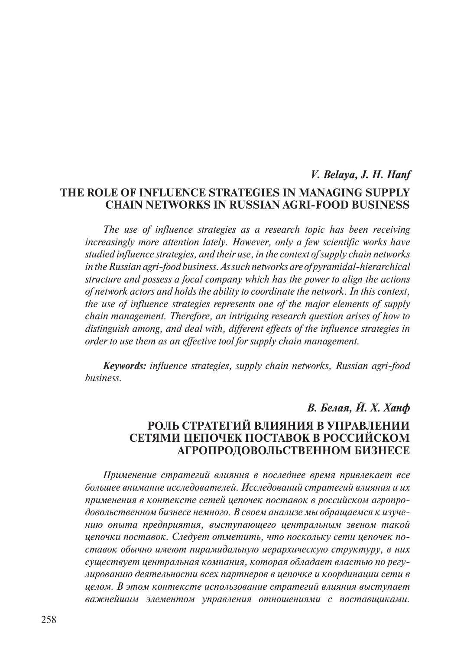# *V. Belaya, J. H. Hanf* **The Role of Influence Strategies in Managing Supply Chain Networks in Russian Agri-Food Business**

*The use of influence strategies as a research topic has been receiving increasingly more attention lately. However, only a few scientific works have studied influence strategies, and their use, in the context of supply chain networks in the Russian agri-food business. As such networks are of pyramidal-hierarchical structure and possess a focal company which has the power to align the actions of network actors and holds the ability to coordinate the network. In this context, the use of influence strategies represents one of the major elements of supply chain management. Therefore, an intriguing research question arises of how to distinguish among, and deal with, different effects of the influence strategies in order to use them as an effective tool for supply chain management.*

*Keywords: influence strategies, supply chain networks, Russian agri-food business.*

# *В. Белая, Й. Х. Ханф*

# **Роль стратегий влияния в управлении сетями цепочек поставок в российском агропродовольственном бизнесе**

*Применение стратегий влияния в последнее время привлекает все большее внимание исследователей. Исследований стратегий влияния и их применения в контексте сетей цепочек поставок в российском агропродовольственном бизнесе немного. В своем анализе мы обращаемся к изучению опыта предприятия, выступающего центральным звеном такой цепочки поставок. Следует отметить, что поскольку сети цепочек поставок обычно имеют пирамидальную иерархическую структуру, в них существует центральная компания, которая обладает властью по регулированию деятельности всех партнеров в цепочке и координации сети в целом. В этом контексте использование стратегий влияния выступает важнейшим элементом управления отношениями с поставщиками.*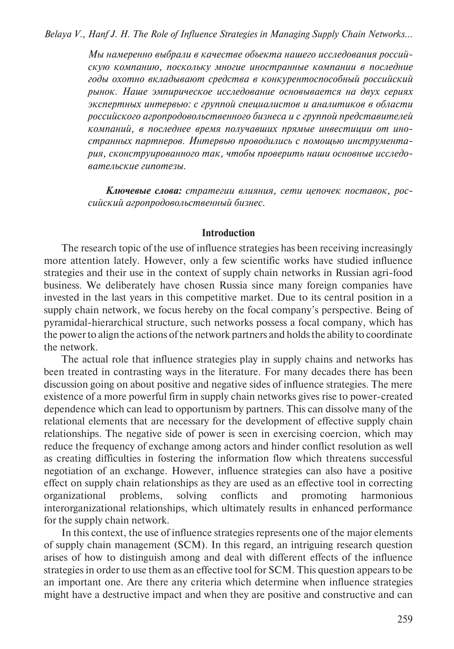*Мы намеренно выбрали в качестве объекта нашего исследования российскую компанию, поскольку многие иностранные компании в последние годы охотно вкладывают средства в конкурентоспособный российский рынок. Наше эмпирическое исследование основывается на двух сериях экспертных интервью: с группой специалистов и аналитиков в области российского агропродовольственного бизнеса и с группой представителей компаний, в последнее время получавших прямые инвестиции от иностранных партнеров. Интервью проводились с помощью инструментария, сконструированного так, чтобы проверить наши основные исследовательские гипотезы.*

*Ключевые слова: стратегии влияния, сети цепочек поставок, российский агропродовольственный бизнес.*

#### **Introduction**

The research topic of the use of influence strategies has been receiving increasingly more attention lately. However, only a few scientific works have studied influence strategies and their use in the context of supply chain networks in Russian agri-food business. We deliberately have chosen Russia since many foreign companies have invested in the last years in this competitive market. Due to its central position in a supply chain network, we focus hereby on the focal company's perspective. Being of pyramidal-hierarchical structure, such networks possess a focal company, which has the power to align the actions of the network partners and holds the ability to coordinate the network.

The actual role that influence strategies play in supply chains and networks has been treated in contrasting ways in the literature. For many decades there has been discussion going on about positive and negative sides of influence strategies. The mere existence of a more powerful firm in supply chain networks gives rise to power-created dependence which can lead to opportunism by partners. This can dissolve many of the relational elements that are necessary for the development of effective supply chain relationships. The negative side of power is seen in exercising coercion, which may reduce the frequency of exchange among actors and hinder conflict resolution as well as creating difficulties in fostering the information flow which threatens successful negotiation of an exchange. However, influence strategies can also have a positive effect on supply chain relationships as they are used as an effective tool in correcting organizational problems, solving conflicts and promoting harmonious interorganizational relationships, which ultimately results in enhanced performance for the supply chain network.

In this context, the use of influence strategies represents one of the major elements of supply chain management (SCM). In this regard, an intriguing research question arises of how to distinguish among and deal with different effects of the influence strategies in order to use them as an effective tool for SCM. This question appears to be an important one. Are there any criteria which determine when influence strategies might have a destructive impact and when they are positive and constructive and can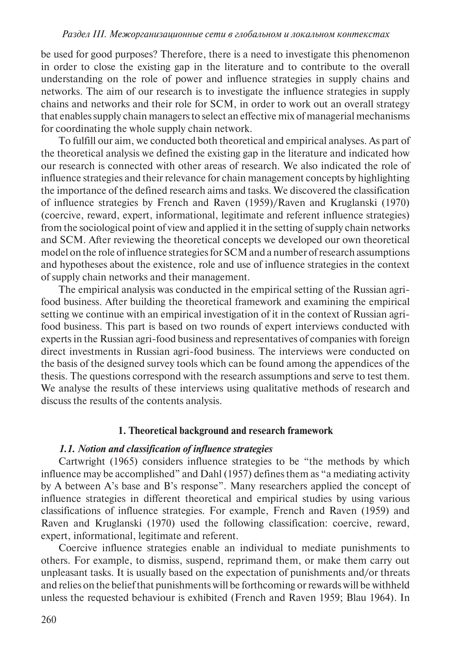be used for good purposes? Therefore, there is a need to investigate this phenomenon in order to close the existing gap in the literature and to contribute to the overall understanding on the role of power and influence strategies in supply chains and networks. The aim of our research is to investigate the influence strategies in supply chains and networks and their role for SCM, in order to work out an overall strategy that enables supply chain managers to select an effective mix of managerial mechanisms for coordinating the whole supply chain network.

To fulfill our aim, we conducted both theoretical and empirical analyses. As part of the theoretical analysis we defined the existing gap in the literature and indicated how our research is connected with other areas of research. We also indicated the role of influence strategies and their relevance for chain management concepts by highlighting the importance of the defined research aims and tasks. We discovered the classification of influence strategies by French and Raven (1959)/Raven and Kruglanski (1970) (coercive, reward, expert, informational, legitimate and referent influence strategies) from the sociological point of view and applied it in the setting of supply chain networks and SCM. After reviewing the theoretical concepts we developed our own theoretical model on the role of influence strategies for SCM and a number of research assumptions and hypotheses about the existence, role and use of influence strategies in the context of supply chain networks and their management.

The empirical analysis was conducted in the empirical setting of the Russian agrifood business. After building the theoretical framework and examining the empirical setting we continue with an empirical investigation of it in the context of Russian agrifood business. This part is based on two rounds of expert interviews conducted with experts in the Russian agri-food business and representatives of companies with foreign direct investments in Russian agri-food business. The interviews were conducted on the basis of the designed survey tools which can be found among the appendices of the thesis. The questions correspond with the research assumptions and serve to test them. We analyse the results of these interviews using qualitative methods of research and discuss the results of the contents analysis.

### **1. Theoretical background and research framework**

### *1.1. Notion and classification of influence strategies*

Cartwright (1965) considers influence strategies to be "the methods by which influence may be accomplished" and Dahl (1957) defines them as "a mediating activity by A between A's base and B's response". Many researchers applied the concept of influence strategies in different theoretical and empirical studies by using various classifications of influence strategies. For example, French and Raven (1959) and Raven and Kruglanski (1970) used the following classification: coercive, reward, expert, informational, legitimate and referent.

Coercive influence strategies enable an individual to mediate punishments to others. For example, to dismiss, suspend, reprimand them, or make them carry out unpleasant tasks. It is usually based on the expectation of punishments and/or threats and relies on the belief that punishments will be forthcoming or rewards will be withheld unless the requested behaviour is exhibited (French and Raven 1959; Blau 1964). In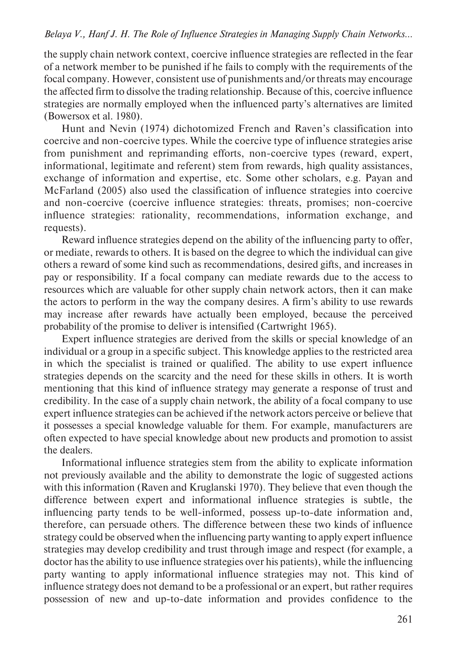the supply chain network context, coercive influence strategies are reflected in the fear of a network member to be punished if he fails to comply with the requirements of the focal company. However, consistent use of punishments and/or threats may encourage the affected firm to dissolve the trading relationship. Because of this, coercive influence strategies are normally employed when the influenced party's alternatives are limited (Bowersox et al. 1980).

Hunt and Nevin (1974) dichotomized French and Raven's classification into coercive and non-coercive types. While the coercive type of influence strategies arise from punishment and reprimanding efforts, non-coercive types (reward, expert, informational, legitimate and referent) stem from rewards, high quality assistances, exchange of information and expertise, etc. Some other scholars, e.g. Payan and McFarland (2005) also used the classification of influence strategies into coercive and non-coercive (coercive influence strategies: threats, promises; non-coercive influence strategies: rationality, recommendations, information exchange, and requests).

Reward influence strategies depend on the ability of the influencing party to offer, or mediate, rewards to others. It is based on the degree to which the individual can give others a reward of some kind such as recommendations, desired gifts, and increases in pay or responsibility. If a focal company can mediate rewards due to the access to resources which are valuable for other supply chain network actors, then it can make the actors to perform in the way the company desires. A firm's ability to use rewards may increase after rewards have actually been employed, because the perceived probability of the promise to deliver is intensified (Cartwright 1965).

Expert influence strategies are derived from the skills or special knowledge of an individual or a group in a specific subject. This knowledge applies to the restricted area in which the specialist is trained or qualified. The ability to use expert influence strategies depends on the scarcity and the need for these skills in others. It is worth mentioning that this kind of influence strategy may generate a response of trust and credibility. In the case of a supply chain network, the ability of a focal company to use expert influence strategies can be achieved if the network actors perceive or believe that it possesses a special knowledge valuable for them. For example, manufacturers are often expected to have special knowledge about new products and promotion to assist the dealers.

Informational influence strategies stem from the ability to explicate information not previously available and the ability to demonstrate the logic of suggested actions with this information (Raven and Kruglanski 1970). They believe that even though the difference between expert and informational influence strategies is subtle, the influencing party tends to be well-informed, possess up-to-date information and, therefore, can persuade others. The difference between these two kinds of influence strategy could be observed when the influencing party wanting to apply expert influence strategies may develop credibility and trust through image and respect (for example, a doctor has the ability to use influence strategies over his patients), while the influencing party wanting to apply informational influence strategies may not. This kind of influence strategy does not demand to be a professional or an expert, but rather requires possession of new and up-to-date information and provides confidence to the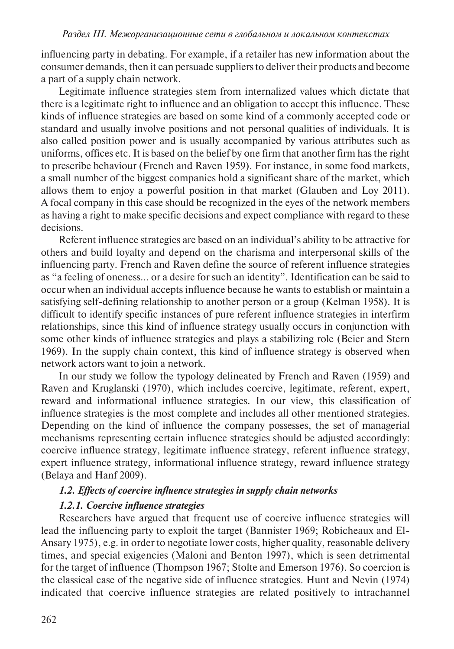influencing party in debating. For example, if a retailer has new information about the consumer demands, then it can persuade suppliers to deliver their products and become a part of a supply chain network.

Legitimate influence strategies stem from internalized values which dictate that there is a legitimate right to influence and an obligation to accept this influence. These kinds of influence strategies are based on some kind of a commonly accepted code or standard and usually involve positions and not personal qualities of individuals. It is also called position power and is usually accompanied by various attributes such as uniforms, offices etc. It is based on the belief by one firm that another firm has the right to prescribe behaviour (French and Raven 1959). For instance, in some food markets, a small number of the biggest companies hold a significant share of the market, which allows them to enjoy a powerful position in that market (Glauben and Loy 2011). A focal company in this case should be recognized in the eyes of the network members as having a right to make specific decisions and expect compliance with regard to these decisions.

Referent influence strategies are based on an individual's ability to be attractive for others and build loyalty and depend on the charisma and interpersonal skills of the influencing party. French and Raven define the source of referent influence strategies as "a feeling of oneness… or a desire for such an identity". Identification can be said to occur when an individual accepts influence because he wants to establish or maintain a satisfying self-defining relationship to another person or a group (Kelman 1958). It is difficult to identify specific instances of pure referent influence strategies in interfirm relationships, since this kind of influence strategy usually occurs in conjunction with some other kinds of influence strategies and plays a stabilizing role (Beier and Stern 1969). In the supply chain context, this kind of influence strategy is observed when network actors want to join a network.

In our study we follow the typology delineated by French and Raven (1959) and Raven and Kruglanski (1970), which includes coercive, legitimate, referent, expert, reward and informational influence strategies. In our view, this classification of influence strategies is the most complete and includes all other mentioned strategies. Depending on the kind of influence the company possesses, the set of managerial mechanisms representing certain influence strategies should be adjusted accordingly: coercive influence strategy, legitimate influence strategy, referent influence strategy, expert influence strategy, informational influence strategy, reward influence strategy (Belaya and Hanf 2009).

### *1.2. Effects of coercive influence strategies in supply chain networks*

### *1.2.1. Coercive influence strategies*

Researchers have argued that frequent use of coercive influence strategies will lead the influencing party to exploit the target (Bannister 1969; Robicheaux and El-Ansary 1975), e.g. in order to negotiate lower costs, higher quality, reasonable delivery times, and special exigencies (Maloni and Benton 1997), which is seen detrimental for the target of influence (Thompson 1967; Stolte and Emerson 1976). So coercion is the classical case of the negative side of influence strategies. Hunt and Nevin (1974) indicated that coercive influence strategies are related positively to intrachannel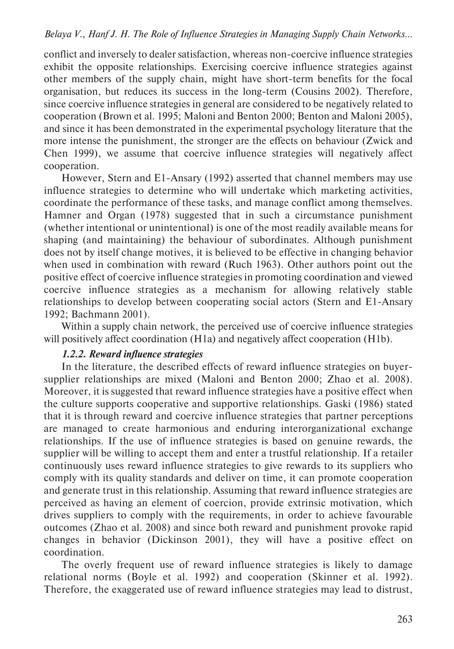conflict and inversely to dealer satisfaction, whereas non-coercive influence strategies exhibit the opposite relationships. Exercising coercive influence strategies against other members of the supply chain, might have short-term benefits for the focal organisation, but reduces its success in the long-term (Cousins 2002). Therefore, since coercive influence strategies in general are considered to be negatively related to cooperation (Brown et al. 1995; Maloni and Benton 2000; Benton and Maloni 2005), and since it has been demonstrated in the experimental psychology literature that the more intense the punishment, the stronger are the effects on behaviour (Zwick and Chen 1999), we assume that coercive influence strategies will negatively affect cooperation.

However, Stern and E1-Ansary (1992) asserted that channel members may use influence strategies to determine who will undertake which marketing activities, coordinate the performance of these tasks, and manage conflict among themselves. Hamner and Organ (1978) suggested that in such a circumstance punishment (whether intentional or unintentional) is one of the most readily available means for shaping (and maintaining) the behaviour of subordinates. Although punishment does not by itself change motives, it is believed to be effective in changing behavior when used in combination with reward (Ruch 1963). Other authors point out the positive effect of coercive influence strategies in promoting coordination and viewed coercive influence strategies as a mechanism for allowing relatively stable relationships to develop between cooperating social actors (Stern and E1-Ansary 1992; Bachmann 2001).

Within a supply chain network, the perceived use of coercive influence strategies will positively affect coordination (H1a) and negatively affect cooperation (H1b).

# *1.2.2. Reward influence strategies*

In the literature, the described effects of reward influence strategies on buyersupplier relationships are mixed (Maloni and Benton 2000; Zhao et al. 2008). Moreover, it is suggested that reward influence strategies have a positive effect when the culture supports cooperative and supportive relationships. Gaski (1986) stated that it is through reward and coercive influence strategies that partner perceptions are managed to create harmonious and enduring interorganizational exchange relationships. If the use of influence strategies is based on genuine rewards, the supplier will be willing to accept them and enter a trustful relationship. If a retailer continuously uses reward influence strategies to give rewards to its suppliers who comply with its quality standards and deliver on time, it can promote cooperation and generate trust in this relationship. Assuming that reward influence strategies are perceived as having an element of coercion, provide extrinsic motivation, which drives suppliers to comply with the requirements, in order to achieve favourable outcomes (Zhao et al. 2008) and since both reward and punishment provoke rapid changes in behavior (Dickinson 2001), they will have a positive effect on coordination.

The overly frequent use of reward influence strategies is likely to damage relational norms (Boyle et al. 1992) and cooperation (Skinner et al. 1992). Therefore, the exaggerated use of reward influence strategies may lead to distrust,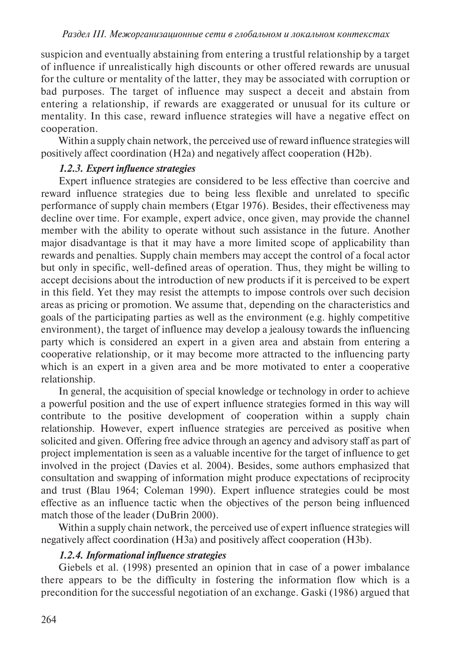suspicion and eventually abstaining from entering a trustful relationship by a target of influence if unrealistically high discounts or other offered rewards are unusual for the culture or mentality of the latter, they may be associated with corruption or bad purposes. The target of influence may suspect a deceit and abstain from entering a relationship, if rewards are exaggerated or unusual for its culture or mentality. In this case, reward influence strategies will have a negative effect on cooperation.

Within a supply chain network, the perceived use of reward influence strategies will positively affect coordination (H2a) and negatively affect cooperation (H2b).

# *1.2.3. Expert influence strategies*

Expert influence strategies are considered to be less effective than coercive and reward influence strategies due to being less flexible and unrelated to specific performance of supply chain members (Etgar 1976). Besides, their effectiveness may decline over time. For example, expert advice, once given, may provide the channel member with the ability to operate without such assistance in the future. Another major disadvantage is that it may have a more limited scope of applicability than rewards and penalties. Supply chain members may accept the control of a focal actor but only in specific, well-defined areas of operation. Thus, they might be willing to accept decisions about the introduction of new products if it is perceived to be expert in this field. Yet they may resist the attempts to impose controls over such decision areas as pricing or promotion. We assume that, depending on the characteristics and goals of the participating parties as well as the environment (e.g. highly competitive environment), the target of influence may develop a jealousy towards the influencing party which is considered an expert in a given area and abstain from entering a cooperative relationship, or it may become more attracted to the influencing party which is an expert in a given area and be more motivated to enter a cooperative relationship.

In general, the acquisition of special knowledge or technology in order to achieve a powerful position and the use of expert influence strategies formed in this way will contribute to the positive development of cooperation within a supply chain relationship. However, expert influence strategies are perceived as positive when solicited and given. Offering free advice through an agency and advisory staff as part of project implementation is seen as a valuable incentive for the target of influence to get involved in the project (Davies et al. 2004). Besides, some authors emphasized that consultation and swapping of information might produce expectations of reciprocity and trust (Blau 1964; Coleman 1990). Expert influence strategies could be most effective as an influence tactic when the objectives of the person being influenced match those of the leader (DuBrin 2000).

Within a supply chain network, the perceived use of expert influence strategies will negatively affect coordination (H3a) and positively affect cooperation (H3b).

# *1.2.4. Informational influence strategies*

Giebels et al. (1998) presented an opinion that in case of a power imbalance there appears to be the difficulty in fostering the information flow which is a precondition for the successful negotiation of an exchange. Gaski (1986) argued that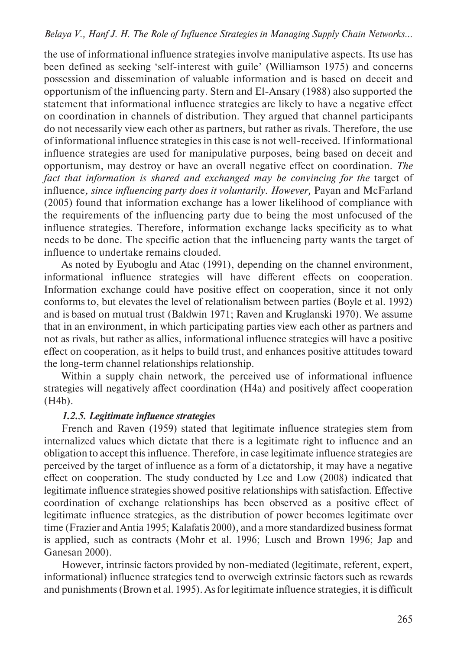the use of informational influence strategies involve manipulative aspects. Its use has been defined as seeking 'self-interest with guile' (Williamson 1975) and concerns possession and dissemination of valuable information and is based on deceit and opportunism of the influencing party. Stern and El-Ansary (1988) also supported the statement that informational influence strategies are likely to have a negative effect on coordination in channels of distribution. They argued that channel participants do not necessarily view each other as partners, but rather as rivals. Therefore, the use of informational influence strategies in this case is not well-received. If informational influence strategies are used for manipulative purposes, being based on deceit and opportunism, may destroy or have an overall negative effect on coordination. *The*  fact that information is shared and exchanged may be convincing for the target of influence, *since influencing party does it voluntarily. However*, Payan and McFarland (2005) found that information exchange has a lower likelihood of compliance with the requirements of the influencing party due to being the most unfocused of the influence strategies. Therefore, information exchange lacks specificity as to what needs to be done. The specific action that the influencing party wants the target of influence to undertake remains clouded.

As noted by Eyuboglu and Atac (1991), depending on the channel environment, informational influence strategies will have different effects on cooperation. Information exchange could have positive effect on cooperation, since it not only conforms to, but elevates the level of relationalism between parties (Boyle et al. 1992) and is based on mutual trust (Baldwin 1971; Raven and Kruglanski 1970). We assume that in an environment, in which participating parties view each other as partners and not as rivals, but rather as allies, informational influence strategies will have a positive effect on cooperation, as it helps to build trust, and enhances positive attitudes toward the long-term channel relationships relationship.

Within a supply chain network, the perceived use of informational influence strategies will negatively affect coordination (H4a) and positively affect cooperation (H4b).

# *1.2.5. Legitimate influence strategies*

French and Raven (1959) stated that legitimate influence strategies stem from internalized values which dictate that there is a legitimate right to influence and an obligation to accept this influence. Therefore, in case legitimate influence strategies are perceived by the target of influence as a form of a dictatorship, it may have a negative effect on cooperation. The study conducted by Lee and Low (2008) indicated that legitimate influence strategies showed positive relationships with satisfaction. Effective coordination of exchange relationships has been observed as a positive effect of legitimate influence strategies, as the distribution of power becomes legitimate over time (Frazier and Antia 1995; Kalafatis 2000), and a more standardized business format is applied, such as contracts (Mohr et al. 1996; Lusch and Brown 1996; Jap and Ganesan 2000).

However, intrinsic factors provided by non-mediated (legitimate, referent, expert, informational) influence strategies tend to overweigh extrinsic factors such as rewards and punishments (Brown et al. 1995). As for legitimate influence strategies, it is difficult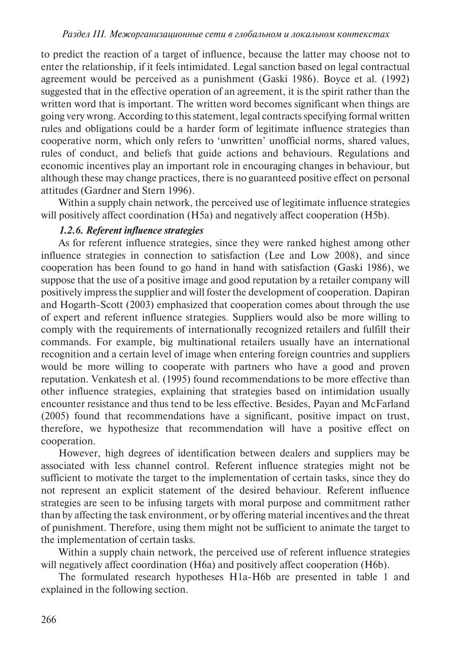to predict the reaction of a target of influence, because the latter may choose not to enter the relationship, if it feels intimidated. Legal sanction based on legal contractual agreement would be perceived as a punishment (Gaski 1986). Boyce et al. (1992) suggested that in the effective operation of an agreement, it is the spirit rather than the written word that is important. The written word becomes significant when things are going very wrong. According to this statement, legal contracts specifying formal written rules and obligations could be a harder form of legitimate influence strategies than cooperative norm, which only refers to 'unwritten' unofficial norms, shared values, rules of conduct, and beliefs that guide actions and behaviours. Regulations and economic incentives play an important role in encouraging changes in behaviour, but although these may change practices, there is no guaranteed positive effect on personal attitudes (Gardner and Stern 1996).

Within a supply chain network, the perceived use of legitimate influence strategies will positively affect coordination (H5a) and negatively affect cooperation (H5b).

# *1.2.6. Referent influence strategies*

As for referent influence strategies, since they were ranked highest among other influence strategies in connection to satisfaction (Lee and Low 2008), and since cooperation has been found to go hand in hand with satisfaction (Gaski 1986), we suppose that the use of a positive image and good reputation by a retailer company will positively impress the supplier and will foster the development of cooperation. Dapiran and Hogarth-Scott (2003) emphasized that cooperation comes about through the use of expert and referent influence strategies. Suppliers would also be more willing to comply with the requirements of internationally recognized retailers and fulfill their commands. For example, big multinational retailers usually have an international recognition and a certain level of image when entering foreign countries and suppliers would be more willing to cooperate with partners who have a good and proven reputation. Venkatesh et al. (1995) found recommendations to be more effective than other influence strategies, explaining that strategies based on intimidation usually encounter resistance and thus tend to be less effective. Besides, Payan and McFarland (2005) found that recommendations have a significant, positive impact on trust, therefore, we hypothesize that recommendation will have a positive effect on cooperation.

However, high degrees of identification between dealers and suppliers may be associated with less channel control. Referent influence strategies might not be sufficient to motivate the target to the implementation of certain tasks, since they do not represent an explicit statement of the desired behaviour. Referent influence strategies are seen to be infusing targets with moral purpose and commitment rather than by affecting the task environment, or by offering material incentives and the threat of punishment. Therefore, using them might not be sufficient to animate the target to the implementation of certain tasks.

Within a supply chain network, the perceived use of referent influence strategies will negatively affect coordination (H6a) and positively affect cooperation (H6b).

The formulated research hypotheses H1a-H6b are presented in table 1 and explained in the following section.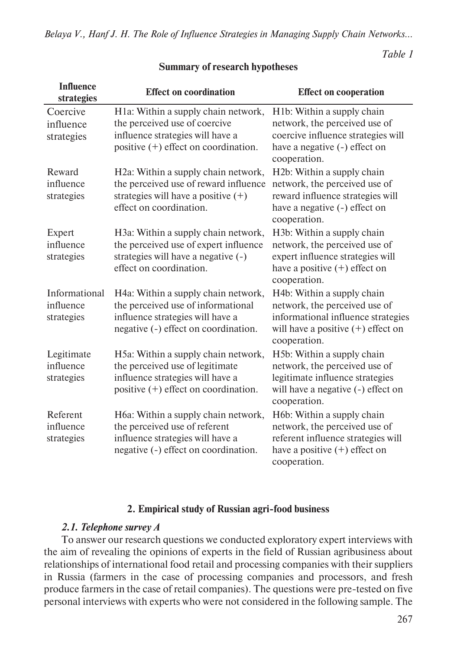*Table 1* 

| <b>Influence</b><br>strategies           | <b>Effect on coordination</b>                                                                                                                                 | <b>Effect on cooperation</b>                                                                                                                                    |
|------------------------------------------|---------------------------------------------------------------------------------------------------------------------------------------------------------------|-----------------------------------------------------------------------------------------------------------------------------------------------------------------|
| Coercive<br>influence<br>strategies      | H1a: Within a supply chain network,<br>the perceived use of coercive<br>influence strategies will have a<br>positive (+) effect on coordination.              | H <sub>1</sub> b: Within a supply chain<br>network, the perceived use of<br>coercive influence strategies will<br>have a negative (-) effect on<br>cooperation. |
| Reward<br>influence<br>strategies        | H <sub>2</sub> a: Within a supply chain network,<br>the perceived use of reward influence<br>strategies will have a positive $(+)$<br>effect on coordination. | H2b: Within a supply chain<br>network, the perceived use of<br>reward influence strategies will<br>have a negative (-) effect on<br>cooperation.                |
| Expert<br>influence<br>strategies        | H3a: Within a supply chain network,<br>the perceived use of expert influence<br>strategies will have a negative (-)<br>effect on coordination.                | H3b: Within a supply chain<br>network, the perceived use of<br>expert influence strategies will<br>have a positive $(+)$ effect on<br>cooperation.              |
| Informational<br>influence<br>strategies | H4a: Within a supply chain network,<br>the perceived use of informational<br>influence strategies will have a<br>negative (-) effect on coordination.         | H4b: Within a supply chain<br>network, the perceived use of<br>informational influence strategies<br>will have a positive $(+)$ effect on<br>cooperation.       |
| Legitimate<br>influence<br>strategies    | H5a: Within a supply chain network,<br>the perceived use of legitimate<br>influence strategies will have a<br>positive $(+)$ effect on coordination.          | H5b: Within a supply chain<br>network, the perceived use of<br>legitimate influence strategies<br>will have a negative (-) effect on<br>cooperation.            |
| Referent<br>influence<br>strategies      | H6a: Within a supply chain network,<br>the perceived use of referent<br>influence strategies will have a<br>negative (-) effect on coordination.              | H6b: Within a supply chain<br>network, the perceived use of<br>referent influence strategies will<br>have a positive $(+)$ effect on<br>cooperation.            |

### **Summary of research hypotheses**

### **2. Empirical study of Russian agri-food business**

### *2.1. Telephone survey A*

To answer our research questions we conducted exploratory expert interviews with the aim of revealing the opinions of experts in the field of Russian agribusiness about relationships of international food retail and processing companies with their suppliers in Russia (farmers in the case of processing companies and processors, and fresh produce farmers in the case of retail companies). The questions were pre-tested on five personal interviews with experts who were not considered in the following sample. The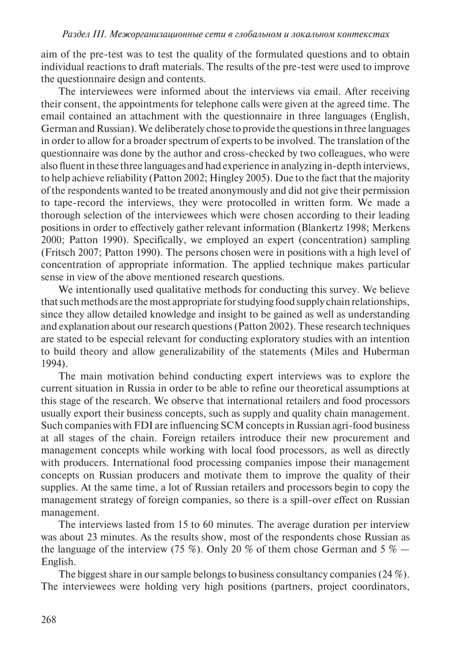aim of the pre-test was to test the quality of the formulated questions and to obtain individual reactions to draft materials. The results of the pre-test were used to improve the questionnaire design and contents.

The interviewees were informed about the interviews via email. After receiving their consent, the appointments for telephone calls were given at the agreed time. The email contained an attachment with the questionnaire in three languages (English, German and Russian). We deliberately chose to provide the questions in three languages in order to allow for a broader spectrum of experts to be involved. The translation of the questionnaire was done by the author and cross-checked by two colleagues, who were also fluent in these three languages and had experience in analyzing in-depth interviews, to help achieve reliability (Patton 2002; Hingley 2005). Due to the fact that the majority of the respondents wanted to be treated anonymously and did not give their permission to tape-record the interviews, they were protocolled in written form. We made a thorough selection of the interviewees which were chosen according to their leading positions in order to effectively gather relevant information (Blankertz 1998; Merkens 2000; Patton 1990). Specifically, we employed an expert (concentration) sampling (Fritsch 2007; Patton 1990). The persons chosen were in positions with a high level of concentration of appropriate information. The applied technique makes particular sense in view of the above mentioned research questions.

We intentionally used qualitative methods for conducting this survey. We believe that such methods are the most appropriate for studying food supply chain relationships, since they allow detailed knowledge and insight to be gained as well as understanding and explanation about our research questions (Patton 2002). These research techniques are stated to be especial relevant for conducting exploratory studies with an intention to build theory and allow generalizability of the statements (Miles and Huberman 1994).

The main motivation behind conducting expert interviews was to explore the current situation in Russia in order to be able to refine our theoretical assumptions at this stage of the research. We observe that international retailers and food processors usually export their business concepts, such as supply and quality chain management. Such companies with FDI are influencing SCM concepts in Russian agri-food business at all stages of the chain. Foreign retailers introduce their new procurement and management concepts while working with local food processors, as well as directly with producers. International food processing companies impose their management concepts on Russian producers and motivate them to improve the quality of their supplies. At the same time, a lot of Russian retailers and processors begin to copy the management strategy of foreign companies, so there is a spill-over effect on Russian management.

The interviews lasted from 15 to 60 minutes. The average duration per interview was about 23 minutes. As the results show, most of the respondents chose Russian as the language of the interview (75 %). Only 20 % of them chose German and 5 %  $-$ English.

The biggest share in our sample belongs to business consultancy companies (24 %). The interviewees were holding very high positions (partners, project coordinators,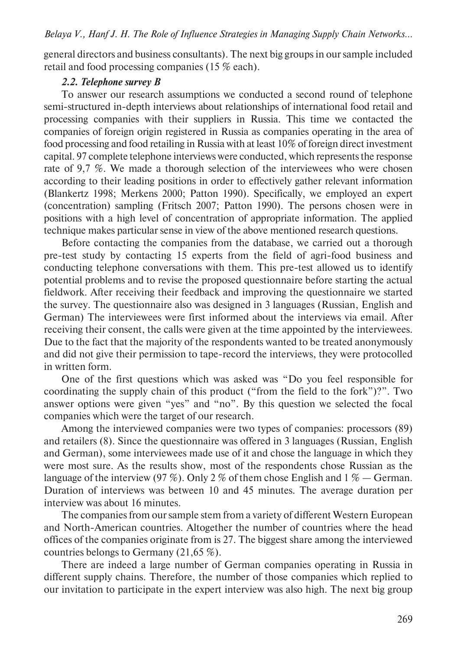general directors and business consultants). The next big groups in our sample included retail and food processing companies (15 % each).

### *2.2. Telephone survey B*

To answer our research assumptions we conducted a second round of telephone semi-structured in-depth interviews about relationships of international food retail and processing companies with their suppliers in Russia. This time we contacted the companies of foreign origin registered in Russia as companies operating in the area of food processing and food retailing in Russia with at least 10% of foreign direct investment capital. 97 complete telephone interviews were conducted, which represents the response rate of 9,7 %. We made a thorough selection of the interviewees who were chosen according to their leading positions in order to effectively gather relevant information (Blankertz 1998; Merkens 2000; Patton 1990). Specifically, we employed an expert (concentration) sampling (Fritsch 2007; Patton 1990). The persons chosen were in positions with a high level of concentration of appropriate information. The applied technique makes particular sense in view of the above mentioned research questions.

Before contacting the companies from the database, we carried out a thorough pre-test study by contacting 15 experts from the field of agri-food business and conducting telephone conversations with them. This pre-test allowed us to identify potential problems and to revise the proposed questionnaire before starting the actual fieldwork. After receiving their feedback and improving the questionnaire we started the survey. The questionnaire also was designed in 3 languages (Russian, English and German) The interviewees were first informed about the interviews via email. After receiving their consent, the calls were given at the time appointed by the interviewees. Due to the fact that the majority of the respondents wanted to be treated anonymously and did not give their permission to tape-record the interviews, they were protocolled in written form.

One of the first questions which was asked was "Do you feel responsible for coordinating the supply chain of this product ("from the field to the fork")?". Two answer options were given "yes" and "no". By this question we selected the focal companies which were the target of our research.

Among the interviewed companies were two types of companies: processors (89) and retailers (8). Since the questionnaire was offered in 3 languages (Russian, English and German), some interviewees made use of it and chose the language in which they were most sure. As the results show, most of the respondents chose Russian as the language of the interview (97 %). Only 2 % of them chose English and 1 % — German. Duration of interviews was between 10 and 45 minutes. The average duration per interview was about 16 minutes.

The companies from our sample stem from a variety of different Western European and North-American countries. Altogether the number of countries where the head offices of the companies originate from is 27. The biggest share among the interviewed countries belongs to Germany (21,65 %).

There are indeed a large number of German companies operating in Russia in different supply chains. Therefore, the number of those companies which replied to our invitation to participate in the expert interview was also high. The next big group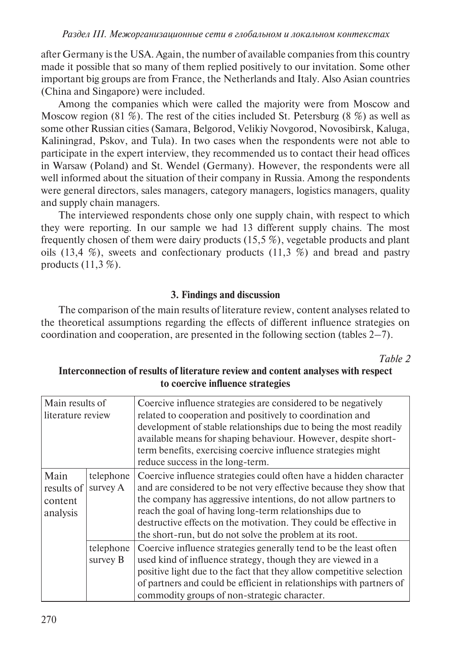after Germany is the USA. Again, the number of available companies from this country made it possible that so many of them replied positively to our invitation. Some other important big groups are from France, the Netherlands and Italy. Also Asian countries (China and Singapore) were included.

Among the companies which were called the majority were from Moscow and Moscow region (81 %). The rest of the cities included St. Petersburg (8 %) as well as some other Russian cities (Samara, Belgorod, Velikiy Novgorod, Novosibirsk, Kaluga, Kaliningrad, Pskov, and Tula). In two cases when the respondents were not able to participate in the expert interview, they recommended us to contact their head offices in Warsaw (Poland) and St. Wendel (Germany). However, the respondents were all well informed about the situation of their company in Russia. Among the respondents were general directors, sales managers, category managers, logistics managers, quality and supply chain managers.

The interviewed respondents chose only one supply chain, with respect to which they were reporting. In our sample we had 13 different supply chains. The most frequently chosen of them were dairy products (15,5 %), vegetable products and plant oils  $(13,4\%)$ , sweets and confectionary products  $(11,3\%)$  and bread and pastry products (11,3 %).

# **3. Findings and discussion**

The comparison of the main results of literature review, content analyses related to the theoretical assumptions regarding the effects of different influence strategies on coordination and cooperation, are presented in the following section (tables 2–7).

*Table 2* 

| Main results of   |           | Coercive influence strategies are considered to be negatively                                                                                                                                        |  |
|-------------------|-----------|------------------------------------------------------------------------------------------------------------------------------------------------------------------------------------------------------|--|
| literature review |           | related to cooperation and positively to coordination and                                                                                                                                            |  |
|                   |           | development of stable relationships due to being the most readily<br>available means for shaping behaviour. However, despite short-<br>term benefits, exercising coercive influence strategies might |  |
|                   |           | reduce success in the long-term.                                                                                                                                                                     |  |
| Main              | telephone | Coercive influence strategies could often have a hidden character                                                                                                                                    |  |
| results of        | survey A  | and are considered to be not very effective because they show that                                                                                                                                   |  |
| content           |           | the company has aggressive intentions, do not allow partners to                                                                                                                                      |  |
| analysis          |           | reach the goal of having long-term relationships due to                                                                                                                                              |  |
|                   |           | destructive effects on the motivation. They could be effective in                                                                                                                                    |  |
|                   |           | the short-run, but do not solve the problem at its root.                                                                                                                                             |  |
|                   | telephone | Coercive influence strategies generally tend to be the least often                                                                                                                                   |  |
|                   | survey B  | used kind of influence strategy, though they are viewed in a                                                                                                                                         |  |
|                   |           | positive light due to the fact that they allow competitive selection                                                                                                                                 |  |
|                   |           | of partners and could be efficient in relationships with partners of                                                                                                                                 |  |
|                   |           | commodity groups of non-strategic character.                                                                                                                                                         |  |

# **Interconnection of results of literature review and content analyses with respect to coercive influence strategies**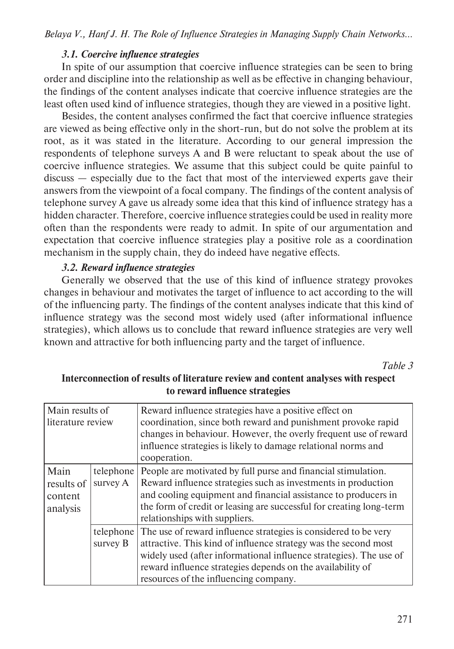### *3.1. Coercive influence strategies*

In spite of our assumption that coercive influence strategies can be seen to bring order and discipline into the relationship as well as be effective in changing behaviour, the findings of the content analyses indicate that coercive influence strategies are the least often used kind of influence strategies, though they are viewed in a positive light.

Besides, the content analyses confirmed the fact that coercive influence strategies are viewed as being effective only in the short-run, but do not solve the problem at its root, as it was stated in the literature. According to our general impression the respondents of telephone surveys A and B were reluctant to speak about the use of coercive influence strategies. We assume that this subject could be quite painful to discuss — especially due to the fact that most of the interviewed experts gave their answers from the viewpoint of a focal company. The findings of the content analysis of telephone survey A gave us already some idea that this kind of influence strategy has a hidden character. Therefore, coercive influence strategies could be used in reality more often than the respondents were ready to admit. In spite of our argumentation and expectation that coercive influence strategies play a positive role as a coordination mechanism in the supply chain, they do indeed have negative effects.

### *3.2. Reward influence strategies*

Generally we observed that the use of this kind of influence strategy provokes changes in behaviour and motivates the target of influence to act according to the will of the influencing party. The findings of the content analyses indicate that this kind of influence strategy was the second most widely used (after informational influence strategies), which allows us to conclude that reward influence strategies are very well known and attractive for both influencing party and the target of influence.

*Table 3* 

| Main results of<br>literature review      |                       | Reward influence strategies have a positive effect on<br>coordination, since both reward and punishment provoke rapid<br>changes in behaviour. However, the overly frequent use of reward<br>influence strategies is likely to damage relational norms and<br>cooperation.                                      |
|-------------------------------------------|-----------------------|-----------------------------------------------------------------------------------------------------------------------------------------------------------------------------------------------------------------------------------------------------------------------------------------------------------------|
| Main<br>results of<br>content<br>analysis | telephone<br>survey A | People are motivated by full purse and financial stimulation.<br>Reward influence strategies such as investments in production<br>and cooling equipment and financial assistance to producers in<br>the form of credit or leasing are successful for creating long-term<br>relationships with suppliers.        |
|                                           | telephone<br>survey B | The use of reward influence strategies is considered to be very<br>attractive. This kind of influence strategy was the second most<br>widely used (after informational influence strategies). The use of<br>reward influence strategies depends on the availability of<br>resources of the influencing company. |

# **Interconnection of results of literature review and content analyses with respect to reward influence strategies**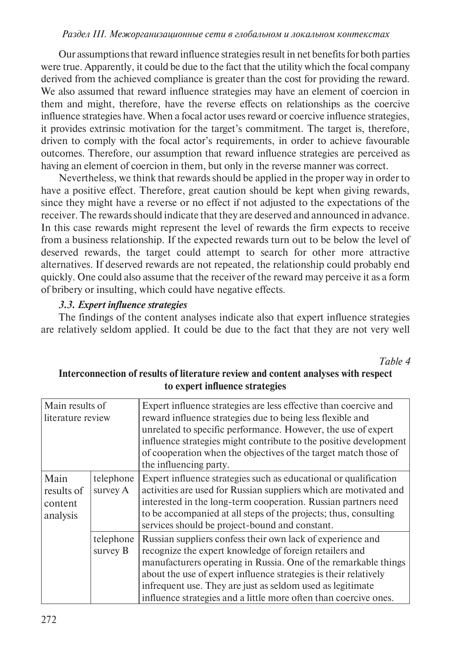#### *Раздел iii. Межорганизационные сети в глобальном и локальном контекстах*

Our assumptions that reward influence strategies result in net benefits for both parties were true. Apparently, it could be due to the fact that the utility which the focal company derived from the achieved compliance is greater than the cost for providing the reward. We also assumed that reward influence strategies may have an element of coercion in them and might, therefore, have the reverse effects on relationships as the coercive influence strategies have. When a focal actor uses reward or coercive influence strategies, it provides extrinsic motivation for the target's commitment. The target is, therefore, driven to comply with the focal actor's requirements, in order to achieve favourable outcomes. Therefore, our assumption that reward influence strategies are perceived as having an element of coercion in them, but only in the reverse manner was correct.

Nevertheless, we think that rewards should be applied in the proper way in order to have a positive effect. Therefore, great caution should be kept when giving rewards, since they might have a reverse or no effect if not adjusted to the expectations of the receiver. The rewards should indicate that they are deserved and announced in advance. In this case rewards might represent the level of rewards the firm expects to receive from a business relationship. If the expected rewards turn out to be below the level of deserved rewards, the target could attempt to search for other more attractive alternatives. If deserved rewards are not repeated, the relationship could probably end quickly. One could also assume that the receiver of the reward may perceive it as a form of bribery or insulting, which could have negative effects.

### *3.3. Expert influence strategies*

The findings of the content analyses indicate also that expert influence strategies are relatively seldom applied. It could be due to the fact that they are not very well

*Table 4* 

| Main results of<br>literature review      |                       | Expert influence strategies are less effective than coercive and<br>reward influence strategies due to being less flexible and<br>unrelated to specific performance. However, the use of expert<br>influence strategies might contribute to the positive development<br>of cooperation when the objectives of the target match those of<br>the influencing party.                              |
|-------------------------------------------|-----------------------|------------------------------------------------------------------------------------------------------------------------------------------------------------------------------------------------------------------------------------------------------------------------------------------------------------------------------------------------------------------------------------------------|
| Main<br>results of<br>content<br>analysis | telephone<br>survey A | Expert influence strategies such as educational or qualification<br>activities are used for Russian suppliers which are motivated and<br>interested in the long-term cooperation. Russian partners need<br>to be accompanied at all steps of the projects; thus, consulting<br>services should be project-bound and constant.                                                                  |
|                                           | telephone<br>survey B | Russian suppliers confess their own lack of experience and<br>recognize the expert knowledge of foreign retailers and<br>manufacturers operating in Russia. One of the remarkable things<br>about the use of expert influence strategies is their relatively<br>infrequent use. They are just as seldom used as legitimate<br>influence strategies and a little more often than coercive ones. |

# **Interconnection of results of literature review and content analyses with respect to expert influence strategies**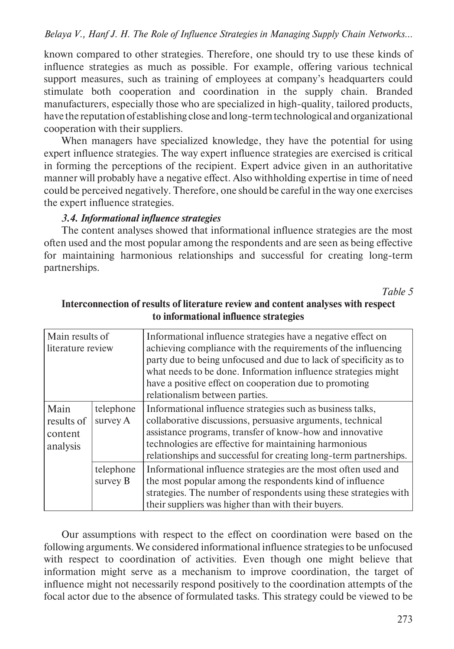known compared to other strategies. Therefore, one should try to use these kinds of influence strategies as much as possible. For example, offering various technical support measures, such as training of employees at company's headquarters could stimulate both cooperation and coordination in the supply chain. Branded manufacturers, especially those who are specialized in high-quality, tailored products, have the reputation of establishing close and long-term technological and organizational cooperation with their suppliers.

When managers have specialized knowledge, they have the potential for using expert influence strategies. The way expert influence strategies are exercised is critical in forming the perceptions of the recipient. Expert advice given in an authoritative manner will probably have a negative effect. Also withholding expertise in time of need could be perceived negatively. Therefore, one should be careful in the way one exercises the expert influence strategies.

#### *3.4. Informational influence strategies*

The content analyses showed that informational influence strategies are the most often used and the most popular among the respondents and are seen as being effective for maintaining harmonious relationships and successful for creating long-term partnerships.

*Table 5* 

| Main results of<br>literature review      |                       | Informational influence strategies have a negative effect on<br>achieving compliance with the requirements of the influencing<br>party due to being unfocused and due to lack of specificity as to<br>what needs to be done. Information influence strategies might<br>have a positive effect on cooperation due to promoting<br>relationalism between parties. |
|-------------------------------------------|-----------------------|-----------------------------------------------------------------------------------------------------------------------------------------------------------------------------------------------------------------------------------------------------------------------------------------------------------------------------------------------------------------|
| Main<br>results of<br>content<br>analysis | telephone<br>survey A | Informational influence strategies such as business talks,<br>collaborative discussions, persuasive arguments, technical<br>assistance programs, transfer of know-how and innovative<br>technologies are effective for maintaining harmonious<br>relationships and successful for creating long-term partnerships.                                              |
|                                           | telephone<br>survey B | Informational influence strategies are the most often used and<br>the most popular among the respondents kind of influence<br>strategies. The number of respondents using these strategies with<br>their suppliers was higher than with their buyers.                                                                                                           |

### **Interconnection of results of literature review and content analyses with respect to informational influence strategies**

Our assumptions with respect to the effect on coordination were based on the following arguments. We considered informational influence strategies to be unfocused with respect to coordination of activities. Even though one might believe that information might serve as a mechanism to improve coordination, the target of influence might not necessarily respond positively to the coordination attempts of the focal actor due to the absence of formulated tasks. This strategy could be viewed to be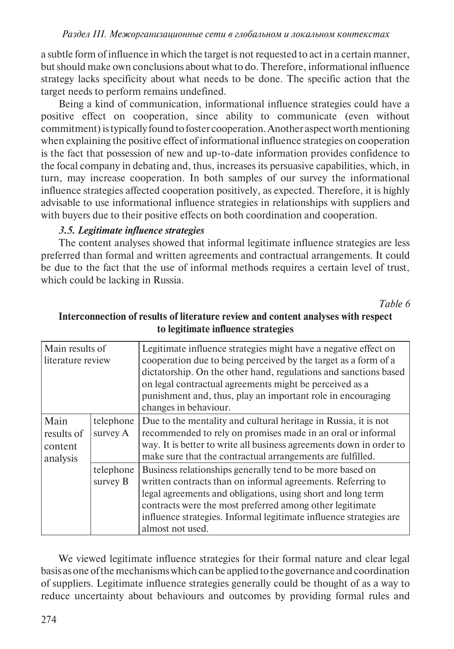a subtle form of influence in which the target is not requested to act in a certain manner, but should make own conclusions about what to do. Therefore, informational influence strategy lacks specificity about what needs to be done. The specific action that the target needs to perform remains undefined.

Being a kind of communication, informational influence strategies could have a positive effect on cooperation, since ability to communicate (even without commitment) is typically found to foster cooperation. Another aspect worth mentioning when explaining the positive effect of informational influence strategies on cooperation is the fact that possession of new and up-to-date information provides confidence to the focal company in debating and, thus, increases its persuasive capabilities, which, in turn, may increase cooperation. In both samples of our survey the informational influence strategies affected cooperation positively, as expected. Therefore, it is highly advisable to use informational influence strategies in relationships with suppliers and with buyers due to their positive effects on both coordination and cooperation.

### *3.5. Legitimate influence strategies*

The content analyses showed that informal legitimate influence strategies are less preferred than formal and written agreements and contractual arrangements. It could be due to the fact that the use of informal methods requires a certain level of trust, which could be lacking in Russia.

*Table 6* 

| Main results of<br>literature review      |                       | Legitimate influence strategies might have a negative effect on<br>cooperation due to being perceived by the target as a form of a<br>dictatorship. On the other hand, regulations and sanctions based<br>on legal contractual agreements might be perceived as a<br>punishment and, thus, play an important role in encouraging<br>changes in behaviour. |
|-------------------------------------------|-----------------------|-----------------------------------------------------------------------------------------------------------------------------------------------------------------------------------------------------------------------------------------------------------------------------------------------------------------------------------------------------------|
| Main<br>results of<br>content<br>analysis | telephone<br>survey A | Due to the mentality and cultural heritage in Russia, it is not<br>recommended to rely on promises made in an oral or informal<br>way. It is better to write all business agreements down in order to<br>make sure that the contractual arrangements are fulfilled.                                                                                       |
|                                           | telephone<br>survey B | Business relationships generally tend to be more based on<br>written contracts than on informal agreements. Referring to<br>legal agreements and obligations, using short and long term<br>contracts were the most preferred among other legitimate<br>influence strategies. Informal legitimate influence strategies are<br>almost not used.             |

# **Interconnection of results of literature review and content analyses with respect to legitimate influence strategies**

We viewed legitimate influence strategies for their formal nature and clear legal basis as one of the mechanisms which can be applied to the governance and coordination of suppliers. Legitimate influence strategies generally could be thought of as a way to reduce uncertainty about behaviours and outcomes by providing formal rules and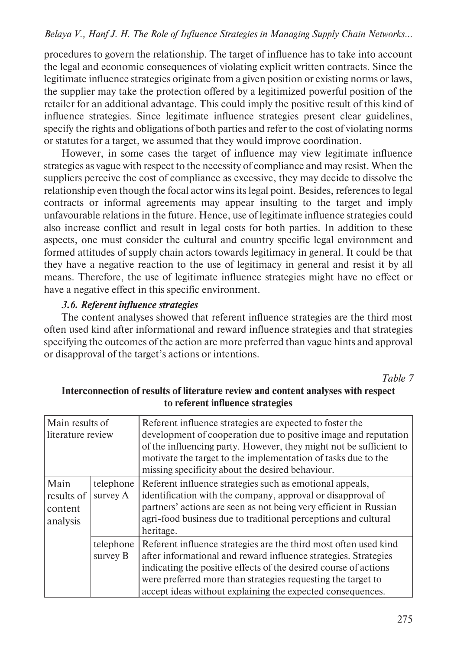procedures to govern the relationship. The target of influence has to take into account the legal and economic consequences of violating explicit written contracts. Since the legitimate influence strategies originate from a given position or existing norms or laws, the supplier may take the protection offered by a legitimized powerful position of the retailer for an additional advantage. This could imply the positive result of this kind of influence strategies. Since legitimate influence strategies present clear guidelines, specify the rights and obligations of both parties and refer to the cost of violating norms or statutes for a target, we assumed that they would improve coordination.

However, in some cases the target of influence may view legitimate influence strategies as vague with respect to the necessity of compliance and may resist. When the suppliers perceive the cost of compliance as excessive, they may decide to dissolve the relationship even though the focal actor wins its legal point. Besides, references to legal contracts or informal agreements may appear insulting to the target and imply unfavourable relations in the future. Hence, use of legitimate influence strategies could also increase conflict and result in legal costs for both parties. In addition to these aspects, one must consider the cultural and country specific legal environment and formed attitudes of supply chain actors towards legitimacy in general. It could be that they have a negative reaction to the use of legitimacy in general and resist it by all means. Therefore, the use of legitimate influence strategies might have no effect or have a negative effect in this specific environment.

### *3.6. Referent influence strategies*

The content analyses showed that referent influence strategies are the third most often used kind after informational and reward influence strategies and that strategies specifying the outcomes of the action are more preferred than vague hints and approval or disapproval of the target's actions or intentions.

*Table 7* 

| Main results of<br>literature review      |                       | Referent influence strategies are expected to foster the<br>development of cooperation due to positive image and reputation<br>of the influencing party. However, they might not be sufficient to<br>motivate the target to the implementation of tasks due to the<br>missing specificity about the desired behaviour.                |
|-------------------------------------------|-----------------------|---------------------------------------------------------------------------------------------------------------------------------------------------------------------------------------------------------------------------------------------------------------------------------------------------------------------------------------|
| Main<br>results of<br>content<br>analysis | telephone<br>survey A | Referent influence strategies such as emotional appeals,<br>identification with the company, approval or disapproval of<br>partners' actions are seen as not being very efficient in Russian<br>agri-food business due to traditional perceptions and cultural<br>heritage.                                                           |
|                                           | telephone<br>survey B | Referent influence strategies are the third most often used kind<br>after informational and reward influence strategies. Strategies<br>indicating the positive effects of the desired course of actions<br>were preferred more than strategies requesting the target to<br>accept ideas without explaining the expected consequences. |

# **Interconnection of results of literature review and content analyses with respect to referent influence strategies**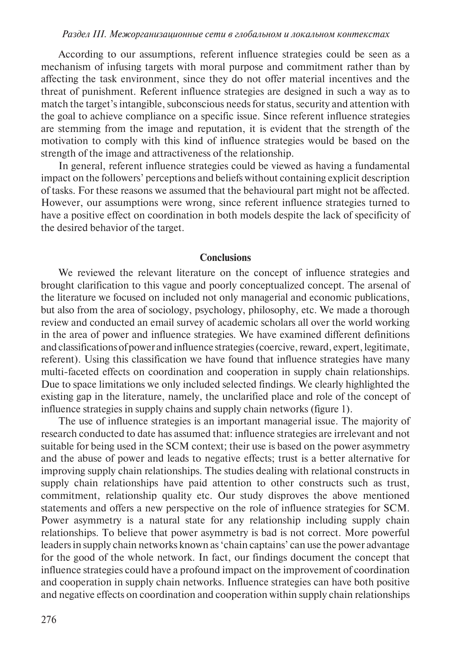According to our assumptions, referent influence strategies could be seen as a mechanism of infusing targets with moral purpose and commitment rather than by affecting the task environment, since they do not offer material incentives and the threat of punishment. Referent influence strategies are designed in such a way as to match the target's intangible, subconscious needs for status, security and attention with the goal to achieve compliance on a specific issue. Since referent influence strategies are stemming from the image and reputation, it is evident that the strength of the motivation to comply with this kind of influence strategies would be based on the strength of the image and attractiveness of the relationship.

In general, referent influence strategies could be viewed as having a fundamental impact on the followers' perceptions and beliefs without containing explicit description of tasks. For these reasons we assumed that the behavioural part might not be affected. However, our assumptions were wrong, since referent influence strategies turned to have a positive effect on coordination in both models despite the lack of specificity of the desired behavior of the target.

#### **Conclusions**

We reviewed the relevant literature on the concept of influence strategies and brought clarification to this vague and poorly conceptualized concept. The arsenal of the literature we focused on included not only managerial and economic publications, but also from the area of sociology, psychology, philosophy, etc. We made a thorough review and conducted an email survey of academic scholars all over the world working in the area of power and influence strategies. We have examined different definitions and classifications of power and influence strategies (coercive, reward, expert, legitimate, referent). Using this classification we have found that influence strategies have many multi-faceted effects on coordination and cooperation in supply chain relationships. Due to space limitations we only included selected findings. We clearly highlighted the existing gap in the literature, namely, the unclarified place and role of the concept of influence strategies in supply chains and supply chain networks (figure 1).

The use of influence strategies is an important managerial issue. The majority of research conducted to date has assumed that: influence strategies are irrelevant and not suitable for being used in the SCM context; their use is based on the power asymmetry and the abuse of power and leads to negative effects; trust is a better alternative for improving supply chain relationships. The studies dealing with relational constructs in supply chain relationships have paid attention to other constructs such as trust, commitment, relationship quality etc. Our study disproves the above mentioned statements and offers a new perspective on the role of influence strategies for SCM. Power asymmetry is a natural state for any relationship including supply chain relationships. To believe that power asymmetry is bad is not correct. More powerful leaders in supply chain networks known as 'chain captains' can use the power advantage for the good of the whole network. In fact, our findings document the concept that influence strategies could have a profound impact on the improvement of coordination and cooperation in supply chain networks. Influence strategies can have both positive and negative effects on coordination and cooperation within supply chain relationships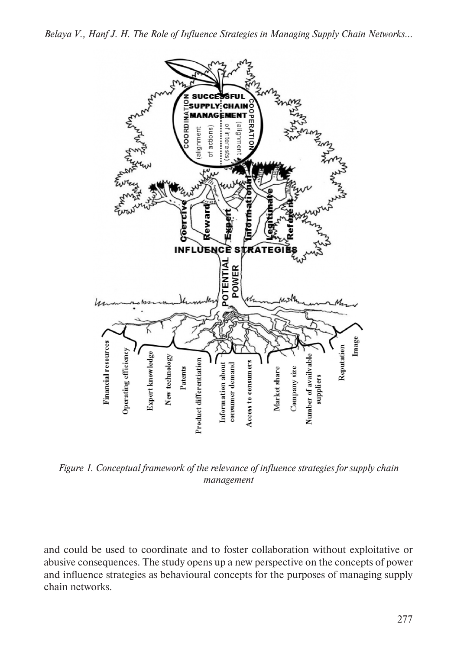

*Figure 1. Conceptual framework of the relevance of influence strategies for supply chain management* 

and could be used to coordinate and to foster collaboration without exploitative or abusive consequences. The study opens up a new perspective on the concepts of power and influence strategies as behavioural concepts for the purposes of managing supply chain networks.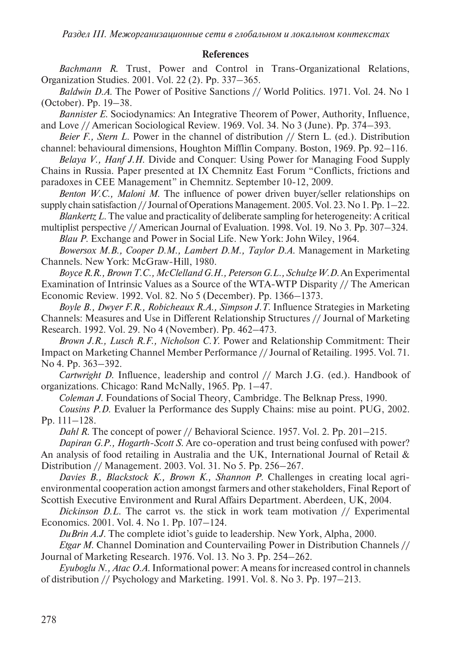#### **References**

*Bachmann R*. Trust, Power and Control in Trans-Organizational Relations, Organization Studies. 2001. Vol. 22 (2). Pp. 337–365.

*Baldwin D.A*. The Power of Positive Sanctions // World Politics. 1971. Vol. 24. No 1 (October). Pp. 19–38.

*Bannister E*. Sociodynamics: An Integrative Theorem of Power, Authority, Influence, and Love // American Sociological Review. 1969. Vol. 34. No 3 (June). Pp. 374–393.

*Beier F., Stern L*. Power in the channel of distribution // Stern L. (ed.). Distribution channel: behavioural dimensions, Houghton Mifflin Company. Boston, 1969. Pp. 92–116.

*Belaya V., Hanf J.H*. Divide and Conquer: Using Power for Managing Food Supply Chains in Russia. Paper presented at IX Chemnitz East Forum "Conflicts, frictions and

paradoxes in CEE Management" in Chemnitz. September 10-12, 2009. *Benton W.C., Maloni M*. The influence of power driven buyer/seller relationships on

supply chain satisfaction // Journal of Operations Management. 2005. Vol. 23. No 1. Pp. 1–22. *Blankertz L*. The value and practicality of deliberate sampling for heterogeneity: A critical

multiplist perspective // American Journal of Evaluation. 1998. Vol. 19. No 3. Pp. 307–324. *Blau P*. Exchange and Power in Social Life. New York: John Wiley, 1964.

*Bowersox M.B., Cooper D.M., Lambert D.M., Taylor D.A*. Management in Marketing Channels. New York: McGraw-Hill, 1980.

*Boyce R.R., Brown T.C., McClelland G.H., Peterson G.L., Schulze W.D*. An Experimental Examination of Intrinsic Values as a Source of the WTA-WTP Disparity // The American Economic Review. 1992. Vol. 82. No 5 (December). Pp. 1366–1373.

*Boyle B., Dwyer F.R., Robicheaux R.A., Simpson J.T*. Influence Strategies in Marketing Channels: Measures and Use in Different Relationship Structures // Journal of Marketing

Research. 1992. Vol. 29. No 4 (November). Pp. 462–473.

*Brown J.R., Lusch R.F., Nicholson C.Y*. Power and Relationship Commitment: Their Impact on Marketing Channel Member Performance // Journal of Retailing. 1995. Vol. 71. No 4. Pp. 363–392.

*Cartwright D*. Influence, leadership and control // March J.G. (ed.). Handbook of organizations. Chicago: Rand McNally, 1965. Pp. 1–47.

*Coleman J*. Foundations of Social Theory, Cambridge. The Belknap Press, 1990.

*Cousins P.D*. Evaluer la Performance des Supply Chains: mise au point. PUG, 2002. Pp. 111–128.

*Dahl R*. The concept of power // Behavioral Science. 1957. Vol. 2. Pp. 201–215.

*Dapiran G.P., Hogarth-Scott S*. Are co-operation and trust being confused with power?

An analysis of food retailing in Australia and the UK, International Journal of Retail & Distribution // Management. 2003. Vol. 31. No 5. Pp. 256–267.

*Davies B., Blackstock K., Brown K., Shannon P*. Challenges in creating local agrienvironmental cooperation action amongst farmers and other stakeholders, Final Report of Scottish Executive Environment and Rural Affairs Department. Aberdeen, UK, 2004.

*Dickinson D.L.* The carrot vs. the stick in work team motivation // Experimental Economics. 2001. Vol. 4. No 1. Pp. 107–124.

*DuBrin A.J*. The complete idiot's guide to leadership. New York, Alpha, 2000.

*Etgar M*. Channel Domination and Countervailing Power in Distribution Channels // Journal of Marketing Research. 1976. Vol. 13. No 3. Pp. 254–262.

*Eyuboglu N., Atac O.A*. Informational power: A means for increased control in channels of distribution // Psychology and Marketing. 1991. Vol. 8. No 3. Pp. 197–213.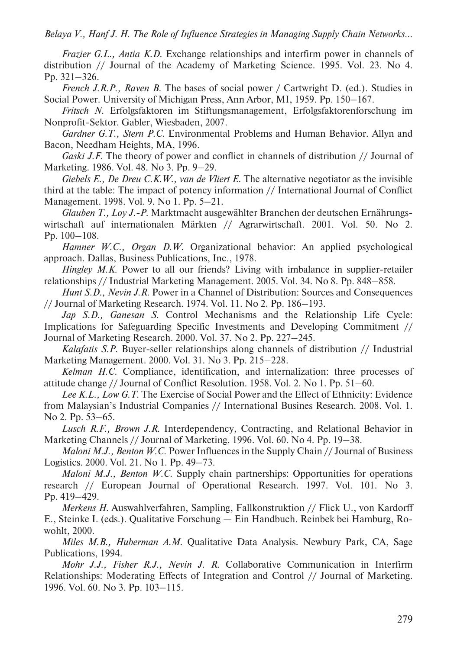*Frazier G.L., Antia K.D*. Exchange relationships and interfirm power in channels of distribution // Journal of the Academy of Marketing Science. 1995. Vol. 23. No 4. Pp. 321–326.

*French J.R.P., Raven B*. The bases of social power / Cartwright D. (ed.). Studies in Social Power. University of Michigan Press, Ann Arbor, MI, 1959. Pp. 150–167.

*Fritsch N*. Erfolgsfaktoren im Stiftungsmanagement, Erfolgsfaktorenforschung im Nonprofit-Sektor. Gabler, Wiesbaden, 2007.

*Gardner G.T., Stern P.C*. Environmental Problems and Human Behavior. Allyn and Bacon, Needham Heights, MA, 1996.

*Gaski J.F.* The theory of power and conflict in channels of distribution // Journal of Marketing. 1986. Vol. 48. No 3. Pp. 9–29.

*Giebels E., De Dreu C.K.W., van de Vliert E*. The alternative negotiator as the invisible third at the table: The impact of potency information // International Journal of Conflict Management. 1998. Vol. 9. No 1. Pp. 5–21.

*Glauben T., Loy J.-P*. Marktmacht ausgewählter Branchen der deutschen Ernährungswirtschaft auf internationalen Märkten // Agrarwirtschaft. 2001. Vol. 50. No 2. Pp. 100–108.

*Hamner W.C., Organ D.W*. Organizational behavior: An applied psychological approach. Dallas, Business Publications, Inc., 1978.

*Hingley M.K*. Power to all our friends? Living with imbalance in supplier-retailer relationships // Industrial Marketing Management. 2005. Vol. 34. No 8. Pp. 848–858.

*Hunt S.D., Nevin J.R*. Power in a Channel of Distribution: Sources and Consequences // Journal of Marketing Research. 1974. Vol. 11. No 2. Pp. 186–193.

*Jap S.D., Ganesan S*. Control Mechanisms and the Relationship Life Cycle: Implications for Safeguarding Specific Investments and Developing Commitment // Journal of Marketing Research. 2000. Vol. 37. No 2. Pp. 227–245.

*Kalafatis S.P*. Buyer-seller relationships along channels of distribution // Industrial Marketing Management. 2000. Vol. 31. No 3. Pp. 215–228.

*Kelman H.C*. Compliance, identification, and internalization: three processes of attitude change // Journal of Conflict Resolution. 1958. Vol. 2. No 1. Pp. 51–60.

*Lee K.L., Low G.T*. The Exercise of Social Power and the Effect of Ethnicity: Evidence from Malaysian's Industrial Companies // International Busines Research. 2008. Vol. 1. No 2. Pp. 53–65.

*Lusch R.F., Brown J.R*. Interdependency, Contracting, and Relational Behavior in Marketing Channels // Journal of Marketing. 1996. Vol. 60. No 4. Pp. 19–38.

*Maloni M.J., Benton W.C*. Power Influences in the Supply Chain // Journal of Business Logistics. 2000. Vol. 21. No 1. Pp. 49–73.

*Maloni M.J., Benton W.C*. Supply chain partnerships: Opportunities for operations research // European Journal of Operational Research. 1997. Vol. 101. No 3. Pp. 419–429.

*Merkens H*. Auswahlverfahren, Sampling, Fallkonstruktion // Flick U., von Kardorff E., Steinke I. (eds.). Qualitative Forschung — Ein Handbuch. Reinbek bei Hamburg, Rowohlt, 2000.

*Miles M.B., Huberman A.M*. Qualitative Data Analysis. Newbury Park, CA, Sage Publications, 1994.

*Mohr J.J., Fisher R.J., Nevin J. R*. Collaborative Communication in Interfirm Relationships: Moderating Effects of Integration and Control // Journal of Marketing. 1996. Vol. 60. No 3. Pp. 103–115.